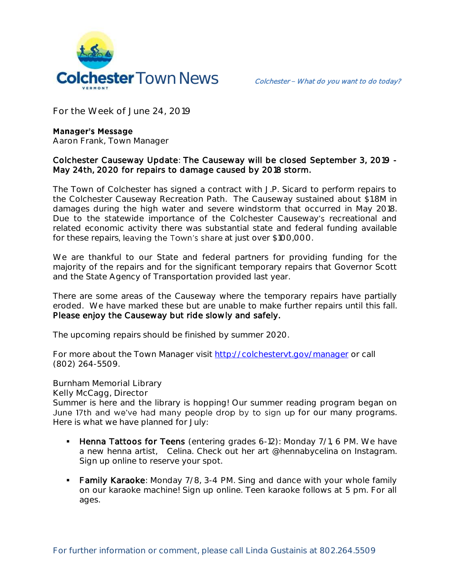

**For the Week of June 24, 2019**

## **Manager's Message**

**Aaron Frank, Town Manager**

## Colchester Causeway Update: The Causeway will be closed September 3, 2019 - May 24th, 2020 for repairs to damage caused by 2018 storm.

The Town of Colchester has signed a contract with J.P. Sicard to perform repairs to the Colchester Causeway Recreation Path. The Causeway sustained about \$1.8M in damages during the high water and severe windstorm that occurred in May 2018. Due to the statewide importance of the Colchester Causeway's recreational and related economic activity there was substantial state and federal funding available for these repairs, leaving the Town's share at just over \$100,000.

We are thankful to our State and federal partners for providing funding for the majority of the repairs and for the significant temporary repairs that Governor Scott and the State Agency of Transportation provided last year.

There are some areas of the Causeway where the temporary repairs have partially eroded. We have marked these but are unable to make further repairs until this fall. Please enjoy the Causeway but ride slowly and safely.

The upcoming repairs should be finished by summer 2020.

For more about the Town Manager visit<http://colchestervt.gov/manager> or call (802) 264-5509.

**Burnham Memorial Library**

**Kelly McCagg, Director**

Summer is here and the library is hopping! Our summer reading program began on June 17th and we've had many people drop by to sign up for our many programs. Here is what we have planned for July:

- **Henna Tattoos for Teens** (entering grades 6-12): Monday 7/1, 6 PM. We have a new henna artist, Celina. Check out her art @hennabycelina on Instagram. Sign up online to reserve your spot.
- **Family Karaoke**: Monday 7/8, 3-4 PM. Sing and dance with your whole family on our karaoke machine! Sign up online. Teen karaoke follows at 5 pm. For all ages.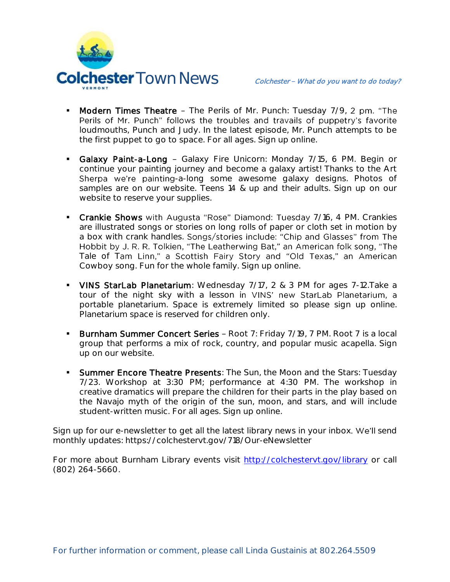

- Modern Times Theatre The Perils of Mr. Punch: Tuesday 7/9, 2 pm. "The Perils of Mr. Punch" follows the troubles and travails of puppetry's favorite loudmouths, Punch and Judy. In the latest episode, Mr. Punch attempts to be the first puppet to go to space. For all ages. Sign up online.
- Galaxy Paint-a-Long Galaxy Fire Unicorn: Monday 7/15, 6 PM. Begin or continue your painting journey and become a galaxy artist! Thanks to the Art Sherpa we're painting-a-long some awesome galaxy designs. Photos of samples are on our website. Teens 14 & up and their adults. Sign up on our website to reserve your supplies.
- Crankie Shows with Augusta "Rose" Diamond: Tuesday 7/16, 4 PM. Crankies are illustrated songs or stories on long rolls of paper or cloth set in motion by a box with crank handles. Songs/stories include: "Chip and Glasses" from The Hobbit by J. R. R. Tolkien, "The Leatherwing Bat," an American folk song, "The Tale of Tam Linn," a Scottish Fairy Story and "Old Texas," an American Cowboy song. Fun for the whole family. Sign up online.
- VINS StarLab Planetarium: Wednesday 7/17, 2 & 3 PM for ages 7-12. Take a tour of the night sky with a lesson in VINS' new StarLab Planetarium, a portable planetarium. Space is extremely limited so please sign up online. Planetarium space is reserved for children only.
- **Burnham Summer Concert Series Root 7: Friday 7/19, 7 PM. Root 7 is a local** group that performs a mix of rock, country, and popular music acapella. Sign up on our website.
- **Summer Encore Theatre Presents:** The Sun, the Moon and the Stars: Tuesday 7/23. Workshop at 3:30 PM; performance at 4:30 PM. The workshop in creative dramatics will prepare the children for their parts in the play based on the Navajo myth of the origin of the sun, moon, and stars, and will include student-written music. For all ages. Sign up online.

Sign up for our e-newsletter to get all the latest library news in your inbox. We'll send monthly updates: https://colchestervt.gov/718/Our-eNewsletter

For more about Burnham Library events visit<http://colchestervt.gov/library> or call (802) 264-5660.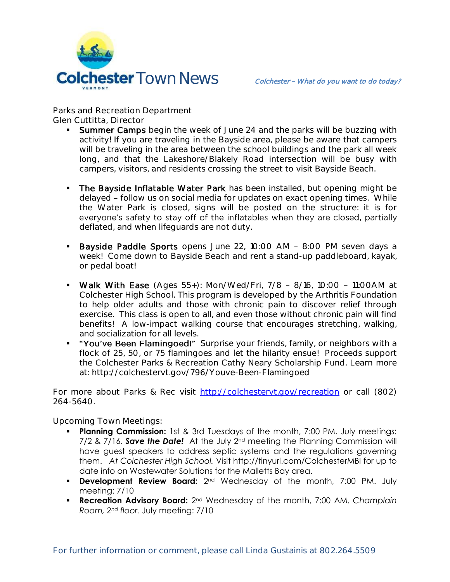

**Parks and Recreation Department Glen Cuttitta, Director**

- Summer Camps begin the week of June 24 and the parks will be buzzing with activity! If you are traveling in the Bayside area, please be aware that campers will be traveling in the area between the school buildings and the park all week long, and that the Lakeshore/Blakely Road intersection will be busy with campers, visitors, and residents crossing the street to visit Bayside Beach.
- The Bayside Inflatable Water Park has been installed, but opening might be delayed - follow us on social media for updates on exact opening times. While the Water Park is closed, signs will be posted on the structure: it is for everyone's safety to stay off of the inflatables when they are closed, partially deflated, and when lifeguards are not duty.
- Bayside Paddle Sports opens June 22, 10:00 AM 8:00 PM seven days a week! Come down to Bayside Beach and rent a stand-up paddleboard, kayak, or pedal boat!
- Walk With Ease (Ages 55+): Mon/Wed/Fri,  $7/8$  8/16, 10:00 11:00AM at Colchester High School. This program is developed by the Arthritis Foundation to help older adults and those with chronic pain to discover relief through exercise. This class is open to all, and even those without chronic pain will find benefits! A low-impact walking course that encourages stretching, walking, and socialization for all levels.
- " "You've Been Flamingoed!" Surprise your friends, family, or neighbors with a flock of 25, 50, or 75 flamingoes and let the hilarity ensue! Proceeds support the Colchester Parks & Recreation Cathy Neary Scholarship Fund. Learn more at: http://colchestervt.gov/796/Youve-Been-Flamingoed

For more about Parks & Rec visit [http://colchestervt.gov/recreation](http://colchestervt.gov/Recreation/parksNRec.shtml) or call (802) 264-5640.

**Upcoming Town Meetings:** 

- **Planning Commission:** 1st & 3rd Tuesdays of the month, 7:00 PM. July meetings: 7/2 & 7/16. *Save the Date!* At the July 2nd meeting the Planning Commission will have guest speakers to address septic systems and the regulations governing them. *At Colchester High School.* Visit http://tinyurl.com/ColchesterMBI for up to date info on Wastewater Solutions for the Malletts Bay area.
- **Development Review Board:** 2<sup>nd</sup> Wednesday of the month, 7:00 PM. July meeting: 7/10
- **Recreation Advisory Board:** 2<sup>nd</sup> Wednesday of the month, 7:00 AM. *Champlain Room, 2nd floor.* July meeting: 7/10